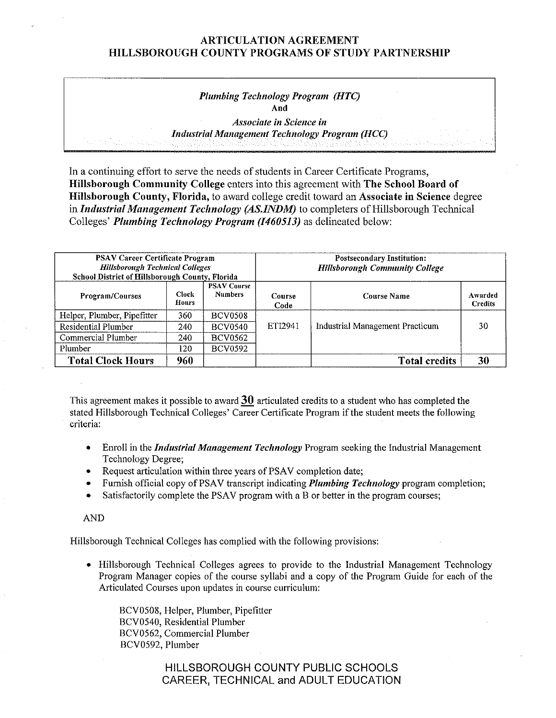# ARTICULATION AGREEMENT HILLSBOROUGH COUNTY PROGRAMS OF STUDY PARTNERSHIP

## *Plumbing Technology Program (HTC)*  **And**

*Associate in Science in Industrial Management Technology Program (HCC)* 

In a continuing effort to serve the needs of students in Career Certificate Programs, **Hillsborough Community College** enters into this agreement with **The School Board of Hillsborough County, Florida,** to award college credit toward an **Associate in Science** degree in *Industrial Management Technology (AS.JNDM)* to completers of Hillsborough Technical Colleges' *Plumbing Technology Program (1460513)* as delineated below:

| <b>PSAV Career Certificate Program</b><br><b>Hillsborough Technical Colleges</b><br><b>School District of Hillsborough County, Florida</b> |                       |                                      | <b>Postsecondary Institution:</b><br><b>Hillsborough Community College</b> |                                 |                           |  |
|--------------------------------------------------------------------------------------------------------------------------------------------|-----------------------|--------------------------------------|----------------------------------------------------------------------------|---------------------------------|---------------------------|--|
| Program/Courses                                                                                                                            | <b>Clock</b><br>Hours | <b>PSAV Course</b><br><b>Numbers</b> | Course<br>Code                                                             | Course Name                     | Awarded<br><b>Credits</b> |  |
| Helper, Plumber, Pipefitter                                                                                                                | 360                   | <b>BCV0508</b>                       |                                                                            |                                 |                           |  |
| Residential Plumber                                                                                                                        | 240                   | <b>BCV0540</b>                       | ETI2941                                                                    | Industrial Management Practicum | 30                        |  |
| Commercial Plumber                                                                                                                         | 240                   | <b>BCV0562</b>                       |                                                                            |                                 |                           |  |
| Plumber                                                                                                                                    | 120.                  | <b>BCV0592</b>                       |                                                                            |                                 |                           |  |
| <b>Total Clock Hours</b>                                                                                                                   | 960                   |                                      |                                                                            | <b>Total credits</b>            | 30                        |  |

This agreement makes it possible to award **30** articulated credits to a student who has completed the stated Hillsborough Technical Colleges' Career Certificate Program if the student meets the following criteria:

- Enroll in the *Industrial Management Technology* Program seeking the Industrial Management Technology Degree;
- Request articulation within three years of PSAV completion date;
- Fumish official copy of PSAV transcript indicating *Plumbing Technology* program completion;
- Satisfactorily complete the PSAV program with a B or better in the program courses;

#### AND

Hillsborough Technical Colleges has complied with the following provisions:

• Hillsborough Technical Colleges agrees to provide to the Industrial Management Technology Program Manager copies of the course syllabi and a copy of the Program Guide for each of the Articulated Courses upon updates in course curriculum:

BCV0508, Helper, Plumber, Pipefitter BCV0540, Residential Plumber BCV0562, Commercial Plumber BCV0592, Plumber

# HILLSBOROUGH COUNTY PUBLIC SCHOOLS CAREER, TECHNICAL and ADULT EDUCATION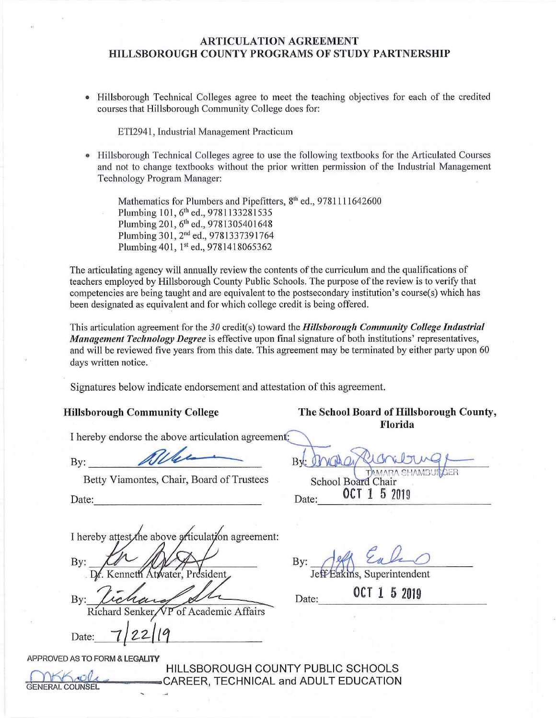### **ARTICULATION AGREEMENT HILLSBOROUGH COUNTY PROGRAMS OF STUDY PARTNERSHIP**

• Hillsborough Technical Colleges agree to meet the teaching objectives for each of the credited courses that Hillsborough Community College does for:

ETI2941, Industrial Management Practicum

Hillsborough Technical Colleges agree to use the following textbooks for the Articulated Courses and not to change textbooks without the prior written permission of the Industrial Management Technology Program Manager:

Mathematics for Plumbers and Pipefitters, 8<sup>th</sup> ed., 9781111642600 Plumbing 101, 6th ed., 9781133281535 Plumbing 201, 6<sup>th</sup> ed., 9781305401648 Plumbing 301, 2nd ed., 9781337391764 Plumbing 401, 1st ed., 9781418065362

The articulating agency will annually review the contents of the curriculum and the qualifications of teachers employed by Hillsborough County Public Schools. The purpose of the review is to verify that competencies are being taught and are equivalent to the postsecondary institution's course(s) which has been designated as equivalent and for which college credit is being offered.

This articulation agreement for the 30 credit(s) toward the *Hillsborough Community College Industrial Management Technology Degree* is effective upon final signature of both institutions' representatives, and will be reviewed five years from this date. This agreement may be terminated by either party upon 60 days written notice.

Signatures below indicate endorsement and attestation of this agreement.

I hereby endorse the above articulation agreement:

 $\mathbf{By:}$ 

Betty Viamontes, Chair, Board of Trustees School Board Chair

I hereby attest the above articulation agreement:

By: Dr. Kenneth Atwater, President,

By: Richard Senker VP of Academic Affairs Date: 7/22/19

**APPROVED AS TO FORM** & **LEGALITY** 

HILLSBOROUGH COUNTY PUBLIC SCHOOLS CAREER, TECHNICAL and ADULT EDUCATION

**Hillsborough Community College The School Board of Hillsborough County, Florida** 

TAMARA SHAMBUI

Date: 0CT 1 5 2019 Date: **OCT 1 5 2019** Date: **OCT 1 5 2019** 

By: Jeff Eakins, Superintendent

Date: 0CT 1 5 2019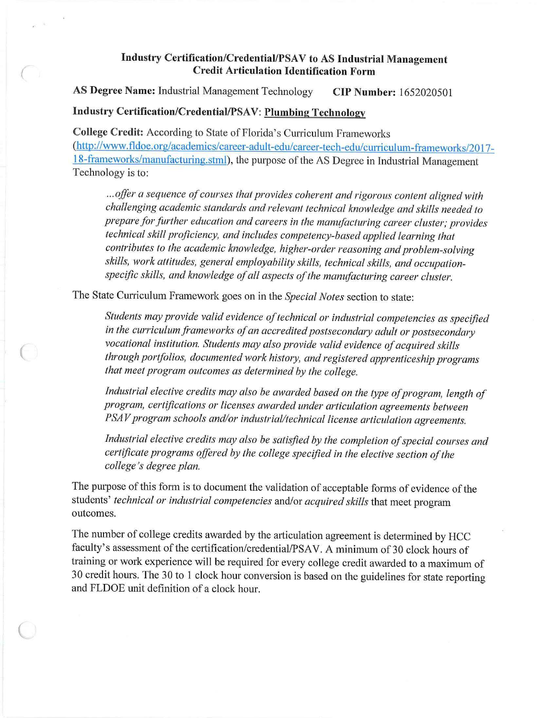# Industry Certification/Credential/PSAV to AS Industrial Management **Credit Articulation Identification Form**

**AS Degree Name:** Industrial Management Technology **CIP Number:** 1652020501

# **Industry Certification/Credential/PSAV: Plumbing Technology**

**College Credit:** According to State of Florida's Curriculum Frameworks (http://www.fldoe.org/academics/career-adult-edu/career-tech-edu/curriculum-frameworks/2017-18-frameworks/manufacturing.stml), the purpose of the AS Degree in Industrial Management Technology is to:

... offer a sequence of courses that provides coherent and rigorous content aligned with *challenging academic standards and relevant technical knowledge and skills needed to prepare for further education and careers in the manufacturing career cluster; provides technical skill proficiency, and includes competency-based applied learning that*  contributes to the academic knowledge, higher-order reasoning and problem-solving *skills, work attitudes, general employability skills, technical skills, and occupation*specific skills, and knowledge of all aspects of the manufacturing career cluster.

The State Curriculum Framework goes on in the *Special Notes* section to state:

 $\big($ 

*Students may provide valid evidence oftechnical or industrial competencies as specified in the curriculum frameworks of an accredited postsecondary adult or postsecondary vocational institution. Students may also provide valid evidence of acquired skills through portfolios, documented work hist01y, and registered apprenticeship programs that meet program outcomes as determined by the college.* 

Industrial elective credits may also be awarded based on the type of program, length of *program, certifications or licenses awarded under articulation agreements between*  PSAV program schools and/or industrial/technical license articulation agreements.

*Industrial elective credits may also be satisfied by the completion ofspecial courses and certificate programs offered by the college specified in the elective section ofthe college's degree plan.* 

The purpose of this form is to document the validation of acceptable forms of evidence of the students' *technical or industrial competencies* and/or *acquired skills* that meet program outcomes.

The number of college credits awarded by the articulation agreement is determined by HCC faculty's assessment of the certification/credential/PSAV. A minimum of 30 clock hours of training or work experience will be required for every college credit awarded to a maximum of 30 credit hours. The 30 to 1 clock hour conversion is based on the guidelines for state reporting and FLDOE unit definition of a clock hour.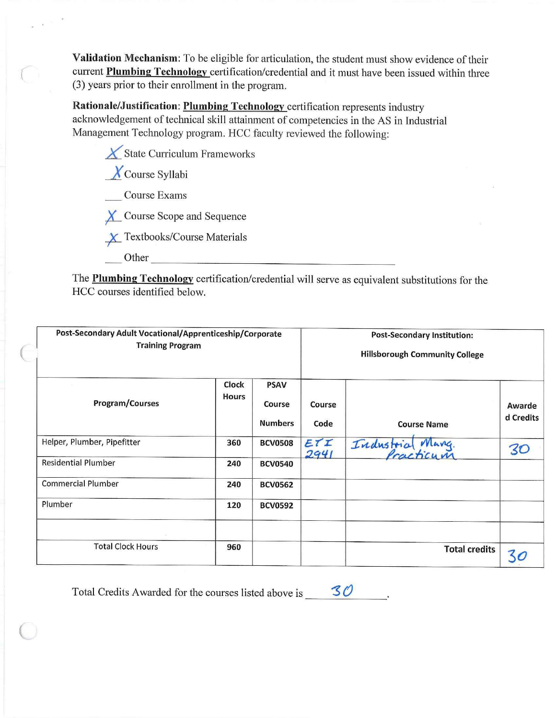**Validation Mechanism:** To be eligible for articulation, the student must show evidence of their current **Plumbing Technology** certification/credential and it must have been issued within three (3) years prior to their enrollment in the program.

**Rationale/Justification: Plumbing Technology** certification represents industry acknowledgement of technical skill attainment of competencies in the AS in Industrial Management Technology program. HCC faculty reviewed the following:

**X** State Curriculum Frameworks

*\_X\_*Course Syllabi

Course Exams

*){\_* Course Scope and Sequence

 $\chi$  Textbooks/Course Materials

Other **Communists** 

 $\subset$ 

- ---------------- ----- The **Plumbing Technology** certification/credential will serve as equivalent substitutions for the HCC courses identified below.

| Post-Secondary Adult Vocational/Apprenticeship/Corporate<br><b>Training Program</b> |                       |                                         | <b>Post-Secondary Institution:</b><br><b>Hillsborough Community College</b> |                      |                     |  |
|-------------------------------------------------------------------------------------|-----------------------|-----------------------------------------|-----------------------------------------------------------------------------|----------------------|---------------------|--|
| Program/Courses                                                                     | Clock<br><b>Hours</b> | <b>PSAV</b><br>Course<br><b>Numbers</b> | Course<br>Code                                                              | <b>Course Name</b>   | Awarde<br>d Credits |  |
| Helper, Plumber, Pipefitter                                                         | 360                   | <b>BCV0508</b>                          | ETI<br>2941                                                                 | Industria<br>Marg.   | 30                  |  |
| <b>Residential Plumber</b>                                                          | 240                   | <b>BCV0540</b>                          |                                                                             |                      |                     |  |
| <b>Commercial Plumber</b>                                                           | 240                   | <b>BCV0562</b>                          |                                                                             |                      |                     |  |
| Plumber                                                                             | 120                   | <b>BCV0592</b>                          |                                                                             |                      |                     |  |
| <b>Total Clock Hours</b>                                                            | 960                   |                                         |                                                                             | <b>Total credits</b> |                     |  |

Total Credits Awarded for the courses listed above is  $\sim$  30